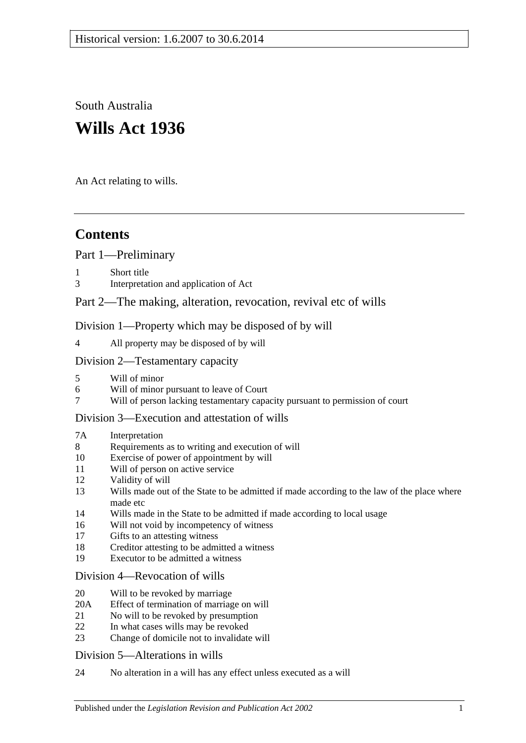South Australia **Wills Act 1936**

An Act relating to wills.

# **Contents**

[Part 1—Preliminary](#page-1-0)

- [Short title](#page-1-1)
- 3 [Interpretation and application of Act](#page-1-2)

# [Part 2—The making, alteration, revocation, revival etc of wills](#page-2-0)

[Division 1—Property which may be disposed of by will](#page-2-1)

4 [All property may be disposed of by will](#page-2-2)

## [Division 2—Testamentary capacity](#page-3-0)

- 5 [Will of minor](#page-3-1)
- 6 [Will of minor pursuant to leave of Court](#page-3-2)<br>7 Will of person lacking testamentary capa
- 7 [Will of person lacking testamentary capacity pursuant to permission of court](#page-3-3)

### [Division 3—Execution and attestation of wills](#page-5-0)

#### 7A [Interpretation](#page-5-1)

- 8 [Requirements as to writing and execution of will](#page-5-2)
- 10 [Exercise of power of appointment by will](#page-6-0)
- 11 [Will of person on active service](#page-6-1)
- 12 [Validity of will](#page-6-2)
- 13 [Wills made out of the State to be admitted if made according to the law of the place where](#page-7-0)  [made etc](#page-7-0)
- 14 [Wills made in the State to be admitted if made according to local usage](#page-7-1)
- 16 [Will not void by incompetency of witness](#page-7-2)
- 17 [Gifts to an attesting witness](#page-7-3)
- 18 [Creditor attesting to be admitted a witness](#page-7-4)
- 19 [Executor to be admitted a witness](#page-7-5)

### [Division 4—Revocation of wills](#page-7-6)

- 20 [Will to be revoked by marriage](#page-7-7)
- 20A [Effect of termination of marriage on will](#page-8-0)
- 21 [No will to be revoked by presumption](#page-9-0)
- 22 [In what cases wills may be revoked](#page-9-1)
- 23 [Change of domicile not to invalidate will](#page-9-2)

### [Division 5—Alterations in wills](#page-9-3)

24 [No alteration in a will has any effect unless executed as a will](#page-9-4)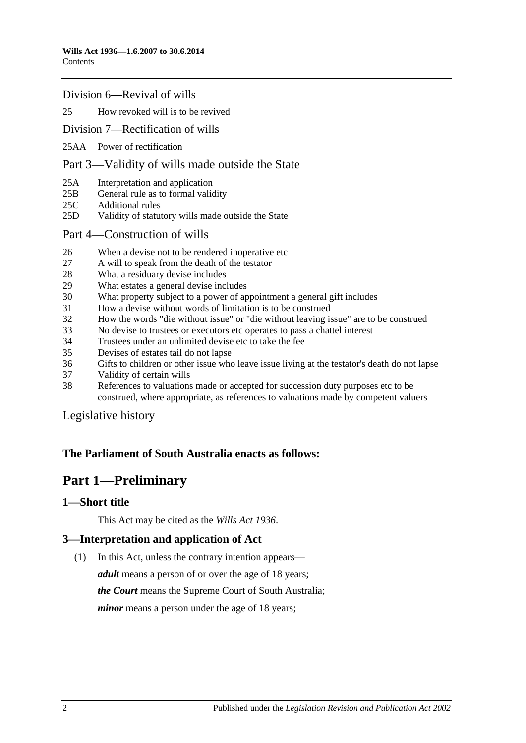#### [Division 6—Revival of wills](#page-9-5)

#### 25 [How revoked will is to be revived](#page-9-6)

#### [Division 7—Rectification of wills](#page-10-0)

25AA [Power of rectification](#page-10-1)

#### [Part 3—Validity of wills made outside the State](#page-10-2)

- 25A [Interpretation and application](#page-10-3)
- 25B [General rule as to formal validity](#page-11-0)
- 25C [Additional rules](#page-11-1)
- 25D [Validity of statutory wills made outside the State](#page-11-2)
- [Part 4—Construction of wills](#page-12-0)
- 26 [When a devise not to be rendered inoperative etc](#page-12-1)
- 27 [A will to speak from the death of the testator](#page-12-2)
- 28 [What a residuary devise includes](#page-12-3)
- 29 [What estates a general devise includes](#page-12-4)
- 30 [What property subject to a power of appointment a general gift includes](#page-12-5)
- 31 [How a devise without words of limitation is to be construed](#page-13-0)
- 32 [How the words "die without issue" or "die without leaving issue" are to be construed](#page-13-1)
- 33 [No devise to trustees or executors etc operates to pass a chattel interest](#page-13-2)
- 34 [Trustees under an unlimited devise etc to take the fee](#page-13-3)
- 35 [Devises of estates tail do not lapse](#page-13-4)
- 36 [Gifts to children or other issue who leave issue living at the testator's death do not lapse](#page-14-0)
- 37 [Validity of certain wills](#page-14-1)
- 38 [References to valuations made or accepted for succession duty purposes etc to be](#page-14-2)  [construed, where appropriate, as references to valuations made by competent valuers](#page-14-2)

[Legislative history](#page-15-0)

# <span id="page-1-0"></span>**The Parliament of South Australia enacts as follows:**

# **Part 1—Preliminary**

#### <span id="page-1-1"></span>**1—Short title**

This Act may be cited as the *Wills Act 1936*.

### <span id="page-1-2"></span>**3—Interpretation and application of Act**

(1) In this Act, unless the contrary intention appears—

*adult* means a person of or over the age of 18 years; *the Court* means the Supreme Court of South Australia; *minor* means a person under the age of 18 years;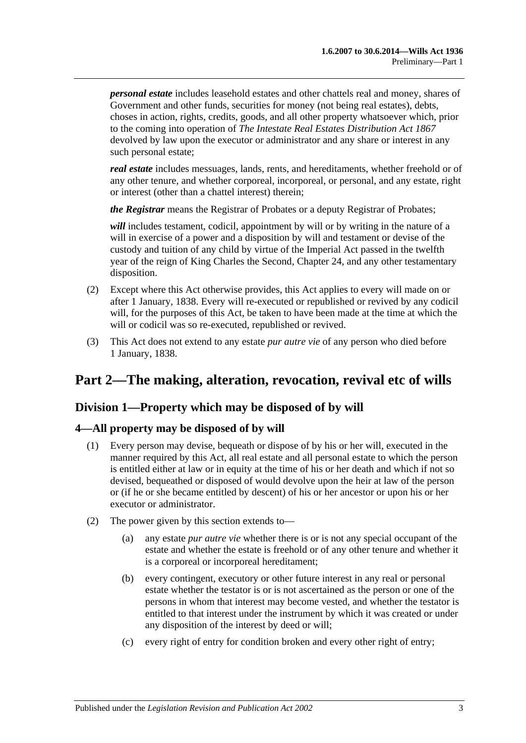*personal estate* includes leasehold estates and other chattels real and money, shares of Government and other funds, securities for money (not being real estates), debts, choses in action, rights, credits, goods, and all other property whatsoever which, prior to the coming into operation of *[The Intestate Real Estates Distribution Act](http://www.legislation.sa.gov.au/index.aspx?action=legref&type=act&legtitle=The%20Intestate%20Real%20Estates%20Distribution%20Act%201867) 1867* devolved by law upon the executor or administrator and any share or interest in any such personal estate;

*real estate* includes messuages, lands, rents, and hereditaments, whether freehold or of any other tenure, and whether corporeal, incorporeal, or personal, and any estate, right or interest (other than a chattel interest) therein;

*the Registrar* means the Registrar of Probates or a deputy Registrar of Probates;

*will* includes testament, codicil, appointment by will or by writing in the nature of a will in exercise of a power and a disposition by will and testament or devise of the custody and tuition of any child by virtue of the Imperial Act passed in the twelfth year of the reign of King Charles the Second, Chapter 24, and any other testamentary disposition.

- (2) Except where this Act otherwise provides, this Act applies to every will made on or after 1 January, 1838. Every will re-executed or republished or revived by any codicil will, for the purposes of this Act, be taken to have been made at the time at which the will or codicil was so re-executed, republished or revived.
- (3) This Act does not extend to any estate *pur autre vie* of any person who died before 1 January, 1838.

# <span id="page-2-1"></span><span id="page-2-0"></span>**Part 2—The making, alteration, revocation, revival etc of wills**

# **Division 1—Property which may be disposed of by will**

### <span id="page-2-2"></span>**4—All property may be disposed of by will**

- (1) Every person may devise, bequeath or dispose of by his or her will, executed in the manner required by this Act, all real estate and all personal estate to which the person is entitled either at law or in equity at the time of his or her death and which if not so devised, bequeathed or disposed of would devolve upon the heir at law of the person or (if he or she became entitled by descent) of his or her ancestor or upon his or her executor or administrator.
- (2) The power given by this section extends to—
	- (a) any estate *pur autre vie* whether there is or is not any special occupant of the estate and whether the estate is freehold or of any other tenure and whether it is a corporeal or incorporeal hereditament;
	- (b) every contingent, executory or other future interest in any real or personal estate whether the testator is or is not ascertained as the person or one of the persons in whom that interest may become vested, and whether the testator is entitled to that interest under the instrument by which it was created or under any disposition of the interest by deed or will;
	- (c) every right of entry for condition broken and every other right of entry;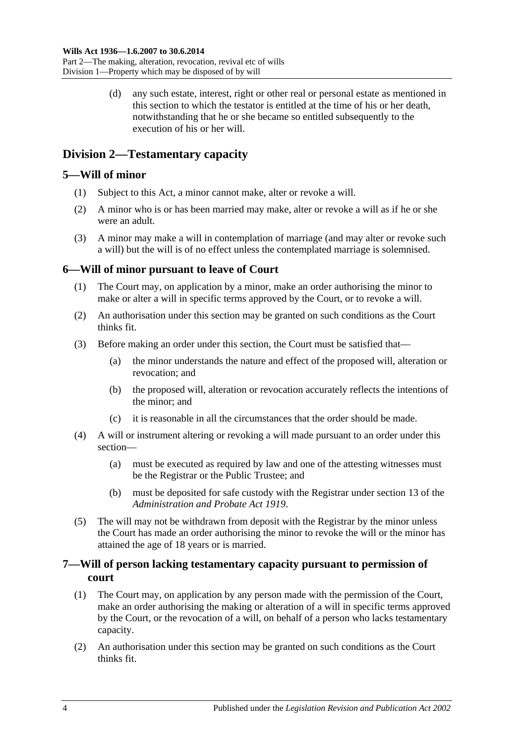(d) any such estate, interest, right or other real or personal estate as mentioned in this section to which the testator is entitled at the time of his or her death, notwithstanding that he or she became so entitled subsequently to the execution of his or her will.

# <span id="page-3-0"></span>**Division 2—Testamentary capacity**

## <span id="page-3-1"></span>**5—Will of minor**

- (1) Subject to this Act, a minor cannot make, alter or revoke a will.
- (2) A minor who is or has been married may make, alter or revoke a will as if he or she were an adult.
- (3) A minor may make a will in contemplation of marriage (and may alter or revoke such a will) but the will is of no effect unless the contemplated marriage is solemnised.

## <span id="page-3-2"></span>**6—Will of minor pursuant to leave of Court**

- (1) The Court may, on application by a minor, make an order authorising the minor to make or alter a will in specific terms approved by the Court, or to revoke a will.
- (2) An authorisation under this section may be granted on such conditions as the Court thinks fit.
- (3) Before making an order under this section, the Court must be satisfied that—
	- (a) the minor understands the nature and effect of the proposed will, alteration or revocation; and
	- (b) the proposed will, alteration or revocation accurately reflects the intentions of the minor; and
	- (c) it is reasonable in all the circumstances that the order should be made.
- (4) A will or instrument altering or revoking a will made pursuant to an order under this section—
	- (a) must be executed as required by law and one of the attesting witnesses must be the Registrar or the Public Trustee; and
	- (b) must be deposited for safe custody with the Registrar under section 13 of the *[Administration and Probate Act](http://www.legislation.sa.gov.au/index.aspx?action=legref&type=act&legtitle=Administration%20and%20Probate%20Act%201919) 1919*.
- (5) The will may not be withdrawn from deposit with the Registrar by the minor unless the Court has made an order authorising the minor to revoke the will or the minor has attained the age of 18 years or is married.

# <span id="page-3-3"></span>**7—Will of person lacking testamentary capacity pursuant to permission of court**

- (1) The Court may, on application by any person made with the permission of the Court, make an order authorising the making or alteration of a will in specific terms approved by the Court, or the revocation of a will, on behalf of a person who lacks testamentary capacity.
- (2) An authorisation under this section may be granted on such conditions as the Court thinks fit.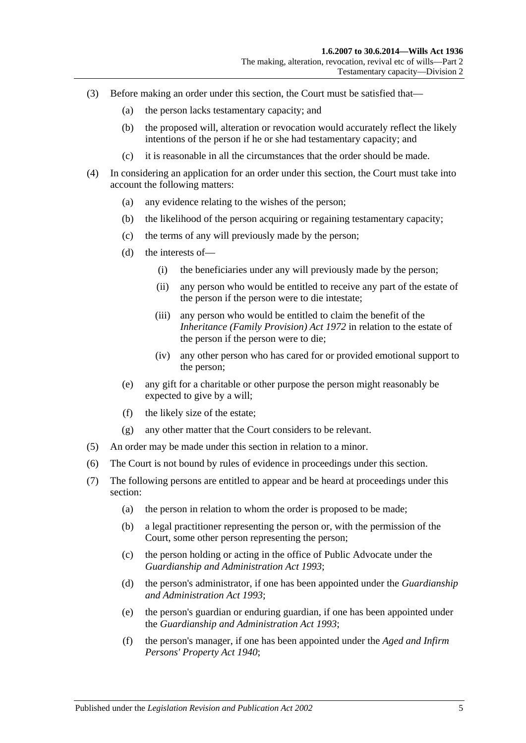- (3) Before making an order under this section, the Court must be satisfied that—
	- (a) the person lacks testamentary capacity; and
	- (b) the proposed will, alteration or revocation would accurately reflect the likely intentions of the person if he or she had testamentary capacity; and
	- (c) it is reasonable in all the circumstances that the order should be made.
- (4) In considering an application for an order under this section, the Court must take into account the following matters:
	- (a) any evidence relating to the wishes of the person;
	- (b) the likelihood of the person acquiring or regaining testamentary capacity;
	- (c) the terms of any will previously made by the person;
	- (d) the interests of—
		- (i) the beneficiaries under any will previously made by the person;
		- (ii) any person who would be entitled to receive any part of the estate of the person if the person were to die intestate;
		- (iii) any person who would be entitled to claim the benefit of the *[Inheritance \(Family Provision\) Act](http://www.legislation.sa.gov.au/index.aspx?action=legref&type=act&legtitle=Inheritance%20(Family%20Provision)%20Act%201972) 1972* in relation to the estate of the person if the person were to die;
		- (iv) any other person who has cared for or provided emotional support to the person;
	- (e) any gift for a charitable or other purpose the person might reasonably be expected to give by a will;
	- (f) the likely size of the estate;
	- (g) any other matter that the Court considers to be relevant.
- (5) An order may be made under this section in relation to a minor.
- (6) The Court is not bound by rules of evidence in proceedings under this section.
- (7) The following persons are entitled to appear and be heard at proceedings under this section:
	- (a) the person in relation to whom the order is proposed to be made;
	- (b) a legal practitioner representing the person or, with the permission of the Court, some other person representing the person;
	- (c) the person holding or acting in the office of Public Advocate under the *[Guardianship and Administration Act](http://www.legislation.sa.gov.au/index.aspx?action=legref&type=act&legtitle=Guardianship%20and%20Administration%20Act%201993) 1993*;
	- (d) the person's administrator, if one has been appointed under the *[Guardianship](http://www.legislation.sa.gov.au/index.aspx?action=legref&type=act&legtitle=Guardianship%20and%20Administration%20Act%201993)  [and Administration Act](http://www.legislation.sa.gov.au/index.aspx?action=legref&type=act&legtitle=Guardianship%20and%20Administration%20Act%201993) 1993*;
	- (e) the person's guardian or enduring guardian, if one has been appointed under the *[Guardianship and Administration Act](http://www.legislation.sa.gov.au/index.aspx?action=legref&type=act&legtitle=Guardianship%20and%20Administration%20Act%201993) 1993*;
	- (f) the person's manager, if one has been appointed under the *[Aged and Infirm](http://www.legislation.sa.gov.au/index.aspx?action=legref&type=act&legtitle=Aged%20and%20Infirm%20Persons%20Property%20Act%201940)  [Persons' Property Act](http://www.legislation.sa.gov.au/index.aspx?action=legref&type=act&legtitle=Aged%20and%20Infirm%20Persons%20Property%20Act%201940) 1940*;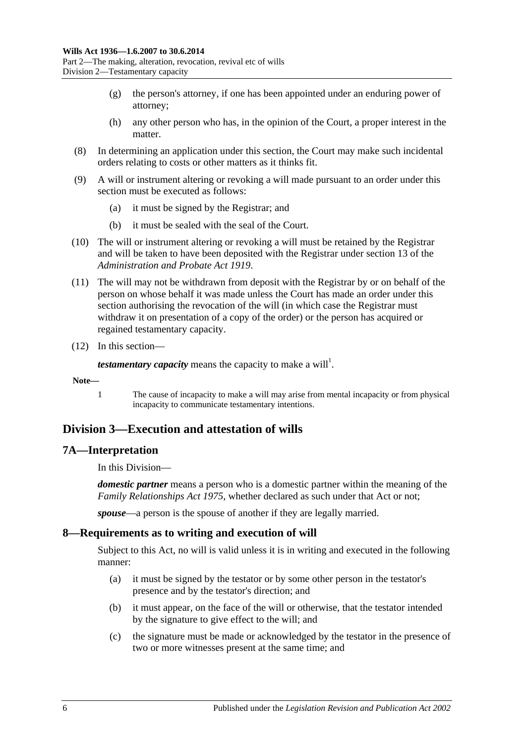- (g) the person's attorney, if one has been appointed under an enduring power of attorney;
- (h) any other person who has, in the opinion of the Court, a proper interest in the matter.
- (8) In determining an application under this section, the Court may make such incidental orders relating to costs or other matters as it thinks fit.
- (9) A will or instrument altering or revoking a will made pursuant to an order under this section must be executed as follows:
	- (a) it must be signed by the Registrar; and
	- (b) it must be sealed with the seal of the Court.
- (10) The will or instrument altering or revoking a will must be retained by the Registrar and will be taken to have been deposited with the Registrar under section 13 of the *[Administration and Probate Act](http://www.legislation.sa.gov.au/index.aspx?action=legref&type=act&legtitle=Administration%20and%20Probate%20Act%201919) 1919*.
- (11) The will may not be withdrawn from deposit with the Registrar by or on behalf of the person on whose behalf it was made unless the Court has made an order under this section authorising the revocation of the will (in which case the Registrar must withdraw it on presentation of a copy of the order) or the person has acquired or regained testamentary capacity.
- (12) In this section—

*testamentary capacity* means the capacity to make a will<sup>1</sup>.

#### **Note—**

1 The cause of incapacity to make a will may arise from mental incapacity or from physical incapacity to communicate testamentary intentions.

# <span id="page-5-0"></span>**Division 3—Execution and attestation of wills**

#### <span id="page-5-1"></span>**7A—Interpretation**

In this Division—

*domestic partner* means a person who is a domestic partner within the meaning of the *[Family Relationships Act](http://www.legislation.sa.gov.au/index.aspx?action=legref&type=act&legtitle=Family%20Relationships%20Act%201975) 1975*, whether declared as such under that Act or not;

*spouse*—a person is the spouse of another if they are legally married.

### <span id="page-5-2"></span>**8—Requirements as to writing and execution of will**

Subject to this Act, no will is valid unless it is in writing and executed in the following manner:

- (a) it must be signed by the testator or by some other person in the testator's presence and by the testator's direction; and
- (b) it must appear, on the face of the will or otherwise, that the testator intended by the signature to give effect to the will; and
- (c) the signature must be made or acknowledged by the testator in the presence of two or more witnesses present at the same time; and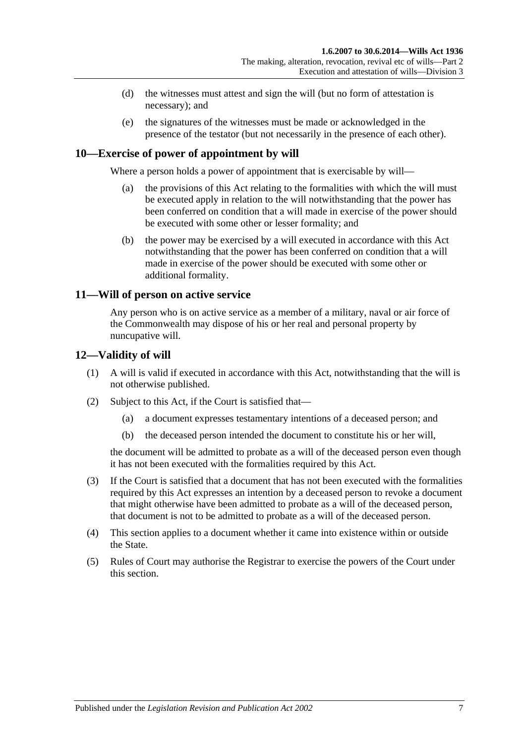- (d) the witnesses must attest and sign the will (but no form of attestation is necessary); and
- (e) the signatures of the witnesses must be made or acknowledged in the presence of the testator (but not necessarily in the presence of each other).

## <span id="page-6-0"></span>**10—Exercise of power of appointment by will**

Where a person holds a power of appointment that is exercisable by will—

- (a) the provisions of this Act relating to the formalities with which the will must be executed apply in relation to the will notwithstanding that the power has been conferred on condition that a will made in exercise of the power should be executed with some other or lesser formality; and
- (b) the power may be exercised by a will executed in accordance with this Act notwithstanding that the power has been conferred on condition that a will made in exercise of the power should be executed with some other or additional formality.

#### <span id="page-6-1"></span>**11—Will of person on active service**

Any person who is on active service as a member of a military, naval or air force of the Commonwealth may dispose of his or her real and personal property by nuncupative will.

#### <span id="page-6-2"></span>**12—Validity of will**

- (1) A will is valid if executed in accordance with this Act, notwithstanding that the will is not otherwise published.
- (2) Subject to this Act, if the Court is satisfied that—
	- (a) a document expresses testamentary intentions of a deceased person; and
	- (b) the deceased person intended the document to constitute his or her will,

the document will be admitted to probate as a will of the deceased person even though it has not been executed with the formalities required by this Act.

- <span id="page-6-3"></span>(3) If the Court is satisfied that a document that has not been executed with the formalities required by this Act expresses an intention by a deceased person to revoke a document that might otherwise have been admitted to probate as a will of the deceased person, that document is not to be admitted to probate as a will of the deceased person.
- (4) This section applies to a document whether it came into existence within or outside the State.
- (5) Rules of Court may authorise the Registrar to exercise the powers of the Court under this section.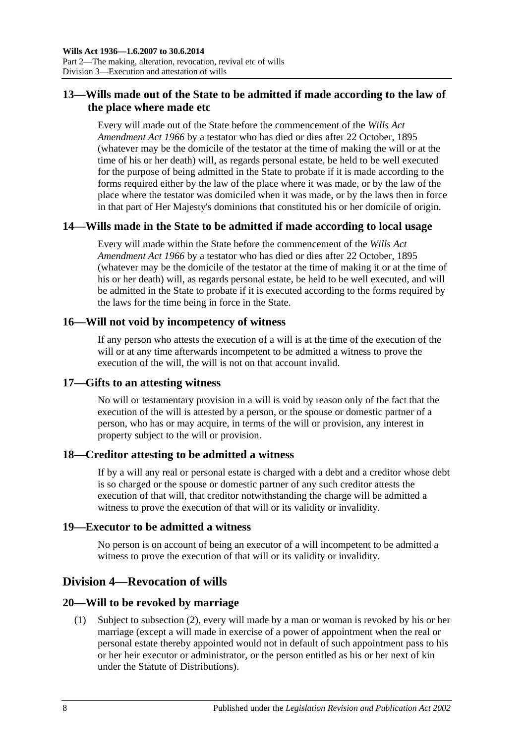# <span id="page-7-0"></span>**13—Wills made out of the State to be admitted if made according to the law of the place where made etc**

Every will made out of the State before the commencement of the *[Wills Act](http://www.legislation.sa.gov.au/index.aspx?action=legref&type=act&legtitle=Wills%20Act%20Amendment%20Act%201966)  [Amendment Act](http://www.legislation.sa.gov.au/index.aspx?action=legref&type=act&legtitle=Wills%20Act%20Amendment%20Act%201966) 1966* by a testator who has died or dies after 22 October, 1895 (whatever may be the domicile of the testator at the time of making the will or at the time of his or her death) will, as regards personal estate, be held to be well executed for the purpose of being admitted in the State to probate if it is made according to the forms required either by the law of the place where it was made, or by the law of the place where the testator was domiciled when it was made, or by the laws then in force in that part of Her Majesty's dominions that constituted his or her domicile of origin.

## <span id="page-7-1"></span>**14—Wills made in the State to be admitted if made according to local usage**

Every will made within the State before the commencement of the *[Wills Act](http://www.legislation.sa.gov.au/index.aspx?action=legref&type=act&legtitle=Wills%20Act%20Amendment%20Act%201966)  [Amendment Act](http://www.legislation.sa.gov.au/index.aspx?action=legref&type=act&legtitle=Wills%20Act%20Amendment%20Act%201966) 1966* by a testator who has died or dies after 22 October, 1895 (whatever may be the domicile of the testator at the time of making it or at the time of his or her death) will, as regards personal estate, be held to be well executed, and will be admitted in the State to probate if it is executed according to the forms required by the laws for the time being in force in the State.

### <span id="page-7-2"></span>**16—Will not void by incompetency of witness**

If any person who attests the execution of a will is at the time of the execution of the will or at any time afterwards incompetent to be admitted a witness to prove the execution of the will, the will is not on that account invalid.

### <span id="page-7-3"></span>**17—Gifts to an attesting witness**

No will or testamentary provision in a will is void by reason only of the fact that the execution of the will is attested by a person, or the spouse or domestic partner of a person, who has or may acquire, in terms of the will or provision, any interest in property subject to the will or provision.

### <span id="page-7-4"></span>**18—Creditor attesting to be admitted a witness**

If by a will any real or personal estate is charged with a debt and a creditor whose debt is so charged or the spouse or domestic partner of any such creditor attests the execution of that will, that creditor notwithstanding the charge will be admitted a witness to prove the execution of that will or its validity or invalidity.

#### <span id="page-7-5"></span>**19—Executor to be admitted a witness**

No person is on account of being an executor of a will incompetent to be admitted a witness to prove the execution of that will or its validity or invalidity.

# <span id="page-7-6"></span>**Division 4—Revocation of wills**

#### <span id="page-7-7"></span>**20—Will to be revoked by marriage**

(1) Subject to [subsection](#page-8-1) (2), every will made by a man or woman is revoked by his or her marriage (except a will made in exercise of a power of appointment when the real or personal estate thereby appointed would not in default of such appointment pass to his or her heir executor or administrator, or the person entitled as his or her next of kin under the Statute of Distributions).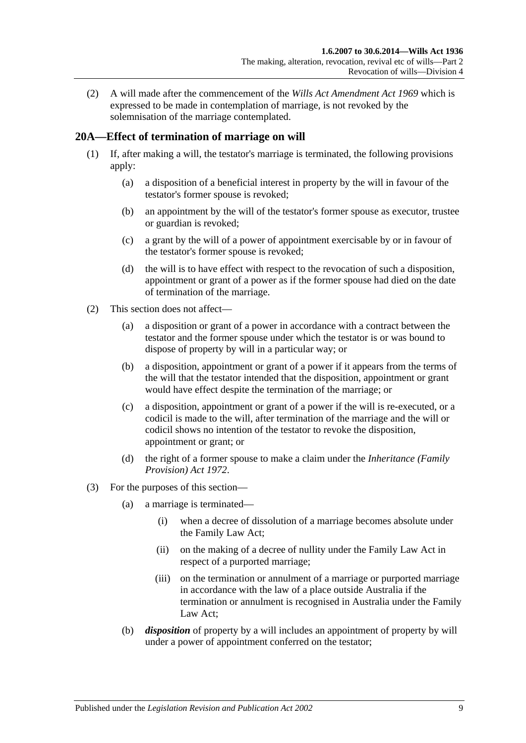<span id="page-8-1"></span>(2) A will made after the commencement of the *[Wills Act Amendment Act](http://www.legislation.sa.gov.au/index.aspx?action=legref&type=act&legtitle=Wills%20Act%20Amendment%20Act%201969) 1969* which is expressed to be made in contemplation of marriage, is not revoked by the solemnisation of the marriage contemplated.

## <span id="page-8-0"></span>**20A—Effect of termination of marriage on will**

- (1) If, after making a will, the testator's marriage is terminated, the following provisions apply:
	- (a) a disposition of a beneficial interest in property by the will in favour of the testator's former spouse is revoked;
	- (b) an appointment by the will of the testator's former spouse as executor, trustee or guardian is revoked;
	- (c) a grant by the will of a power of appointment exercisable by or in favour of the testator's former spouse is revoked;
	- (d) the will is to have effect with respect to the revocation of such a disposition, appointment or grant of a power as if the former spouse had died on the date of termination of the marriage.
- (2) This section does not affect—
	- (a) a disposition or grant of a power in accordance with a contract between the testator and the former spouse under which the testator is or was bound to dispose of property by will in a particular way; or
	- (b) a disposition, appointment or grant of a power if it appears from the terms of the will that the testator intended that the disposition, appointment or grant would have effect despite the termination of the marriage; or
	- (c) a disposition, appointment or grant of a power if the will is re-executed, or a codicil is made to the will, after termination of the marriage and the will or codicil shows no intention of the testator to revoke the disposition, appointment or grant; or
	- (d) the right of a former spouse to make a claim under the *[Inheritance \(Family](http://www.legislation.sa.gov.au/index.aspx?action=legref&type=act&legtitle=Inheritance%20(Family%20Provision)%20Act%201972)  [Provision\) Act](http://www.legislation.sa.gov.au/index.aspx?action=legref&type=act&legtitle=Inheritance%20(Family%20Provision)%20Act%201972) 1972*.
- (3) For the purposes of this section—
	- (a) a marriage is terminated—
		- (i) when a decree of dissolution of a marriage becomes absolute under the Family Law Act;
		- (ii) on the making of a decree of nullity under the Family Law Act in respect of a purported marriage;
		- (iii) on the termination or annulment of a marriage or purported marriage in accordance with the law of a place outside Australia if the termination or annulment is recognised in Australia under the Family Law Act;
	- (b) *disposition* of property by a will includes an appointment of property by will under a power of appointment conferred on the testator;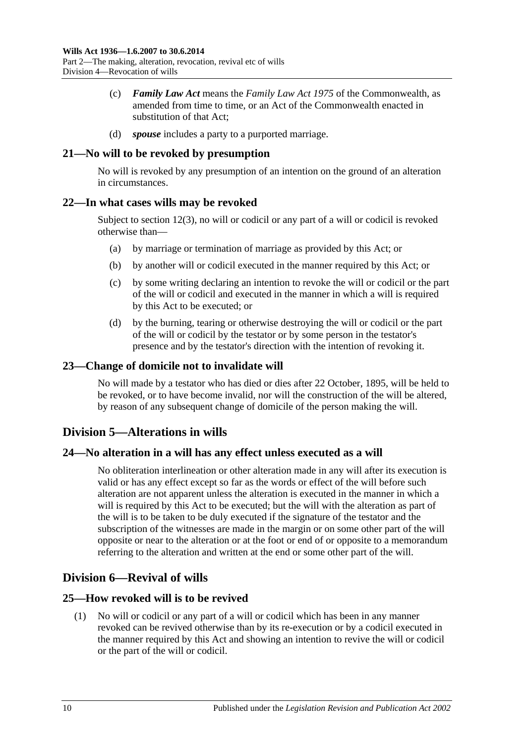- (c) *Family Law Act* means the *Family Law Act 1975* of the Commonwealth, as amended from time to time, or an Act of the Commonwealth enacted in substitution of that Act;
- (d) *spouse* includes a party to a purported marriage.

#### <span id="page-9-0"></span>**21—No will to be revoked by presumption**

No will is revoked by any presumption of an intention on the ground of an alteration in circumstances.

#### <span id="page-9-1"></span>**22—In what cases wills may be revoked**

Subject to [section](#page-6-3) 12(3), no will or codicil or any part of a will or codicil is revoked otherwise than—

- (a) by marriage or termination of marriage as provided by this Act; or
- (b) by another will or codicil executed in the manner required by this Act; or
- (c) by some writing declaring an intention to revoke the will or codicil or the part of the will or codicil and executed in the manner in which a will is required by this Act to be executed; or
- (d) by the burning, tearing or otherwise destroying the will or codicil or the part of the will or codicil by the testator or by some person in the testator's presence and by the testator's direction with the intention of revoking it.

#### <span id="page-9-2"></span>**23—Change of domicile not to invalidate will**

No will made by a testator who has died or dies after 22 October, 1895, will be held to be revoked, or to have become invalid, nor will the construction of the will be altered, by reason of any subsequent change of domicile of the person making the will.

# <span id="page-9-3"></span>**Division 5—Alterations in wills**

### <span id="page-9-4"></span>**24—No alteration in a will has any effect unless executed as a will**

No obliteration interlineation or other alteration made in any will after its execution is valid or has any effect except so far as the words or effect of the will before such alteration are not apparent unless the alteration is executed in the manner in which a will is required by this Act to be executed; but the will with the alteration as part of the will is to be taken to be duly executed if the signature of the testator and the subscription of the witnesses are made in the margin or on some other part of the will opposite or near to the alteration or at the foot or end of or opposite to a memorandum referring to the alteration and written at the end or some other part of the will.

# <span id="page-9-5"></span>**Division 6—Revival of wills**

#### <span id="page-9-6"></span>**25—How revoked will is to be revived**

(1) No will or codicil or any part of a will or codicil which has been in any manner revoked can be revived otherwise than by its re-execution or by a codicil executed in the manner required by this Act and showing an intention to revive the will or codicil or the part of the will or codicil.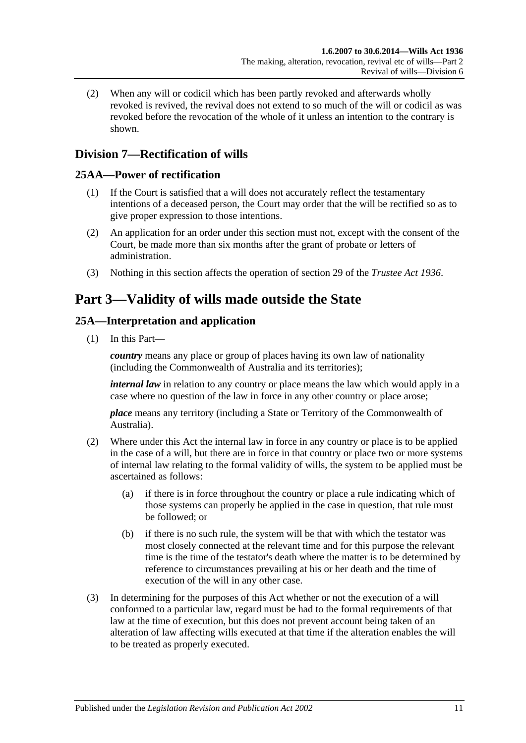(2) When any will or codicil which has been partly revoked and afterwards wholly revoked is revived, the revival does not extend to so much of the will or codicil as was revoked before the revocation of the whole of it unless an intention to the contrary is shown.

# <span id="page-10-0"></span>**Division 7—Rectification of wills**

# <span id="page-10-1"></span>**25AA—Power of rectification**

- (1) If the Court is satisfied that a will does not accurately reflect the testamentary intentions of a deceased person, the Court may order that the will be rectified so as to give proper expression to those intentions.
- (2) An application for an order under this section must not, except with the consent of the Court, be made more than six months after the grant of probate or letters of administration.
- (3) Nothing in this section affects the operation of section 29 of the *[Trustee Act](http://www.legislation.sa.gov.au/index.aspx?action=legref&type=act&legtitle=Trustee%20Act%201936) 1936*.

# <span id="page-10-2"></span>**Part 3—Validity of wills made outside the State**

# <span id="page-10-3"></span>**25A—Interpretation and application**

(1) In this Part—

*country* means any place or group of places having its own law of nationality (including the Commonwealth of Australia and its territories);

*internal law* in relation to any country or place means the law which would apply in a case where no question of the law in force in any other country or place arose;

*place* means any territory (including a State or Territory of the Commonwealth of Australia).

- (2) Where under this Act the internal law in force in any country or place is to be applied in the case of a will, but there are in force in that country or place two or more systems of internal law relating to the formal validity of wills, the system to be applied must be ascertained as follows:
	- (a) if there is in force throughout the country or place a rule indicating which of those systems can properly be applied in the case in question, that rule must be followed; or
	- (b) if there is no such rule, the system will be that with which the testator was most closely connected at the relevant time and for this purpose the relevant time is the time of the testator's death where the matter is to be determined by reference to circumstances prevailing at his or her death and the time of execution of the will in any other case.
- (3) In determining for the purposes of this Act whether or not the execution of a will conformed to a particular law, regard must be had to the formal requirements of that law at the time of execution, but this does not prevent account being taken of an alteration of law affecting wills executed at that time if the alteration enables the will to be treated as properly executed.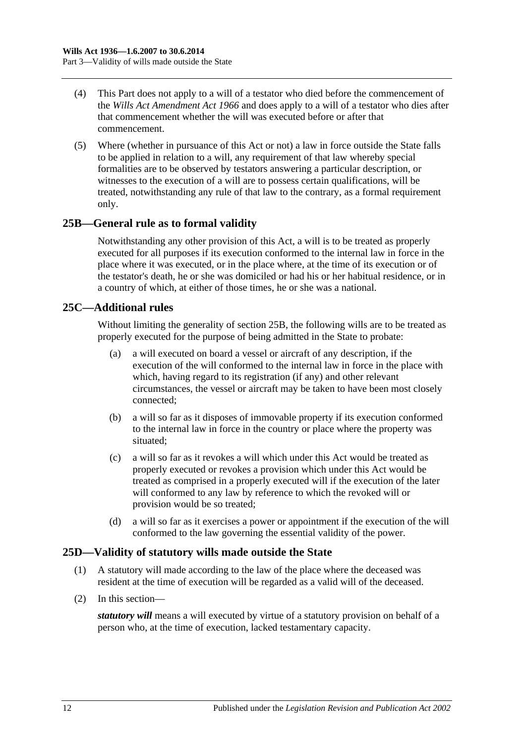- (4) This Part does not apply to a will of a testator who died before the commencement of the *[Wills Act Amendment Act](http://www.legislation.sa.gov.au/index.aspx?action=legref&type=act&legtitle=Wills%20Act%20Amendment%20Act%201966) 1966* and does apply to a will of a testator who dies after that commencement whether the will was executed before or after that commencement.
- (5) Where (whether in pursuance of this Act or not) a law in force outside the State falls to be applied in relation to a will, any requirement of that law whereby special formalities are to be observed by testators answering a particular description, or witnesses to the execution of a will are to possess certain qualifications, will be treated, notwithstanding any rule of that law to the contrary, as a formal requirement only.

## <span id="page-11-0"></span>**25B—General rule as to formal validity**

Notwithstanding any other provision of this Act, a will is to be treated as properly executed for all purposes if its execution conformed to the internal law in force in the place where it was executed, or in the place where, at the time of its execution or of the testator's death, he or she was domiciled or had his or her habitual residence, or in a country of which, at either of those times, he or she was a national.

### <span id="page-11-1"></span>**25C—Additional rules**

Without limiting the generality of [section](#page-11-0) 25B, the following wills are to be treated as properly executed for the purpose of being admitted in the State to probate:

- (a) a will executed on board a vessel or aircraft of any description, if the execution of the will conformed to the internal law in force in the place with which, having regard to its registration (if any) and other relevant circumstances, the vessel or aircraft may be taken to have been most closely connected;
- (b) a will so far as it disposes of immovable property if its execution conformed to the internal law in force in the country or place where the property was situated;
- (c) a will so far as it revokes a will which under this Act would be treated as properly executed or revokes a provision which under this Act would be treated as comprised in a properly executed will if the execution of the later will conformed to any law by reference to which the revoked will or provision would be so treated;
- (d) a will so far as it exercises a power or appointment if the execution of the will conformed to the law governing the essential validity of the power.

### <span id="page-11-2"></span>**25D—Validity of statutory wills made outside the State**

- (1) A statutory will made according to the law of the place where the deceased was resident at the time of execution will be regarded as a valid will of the deceased.
- (2) In this section—

*statutory will* means a will executed by virtue of a statutory provision on behalf of a person who, at the time of execution, lacked testamentary capacity.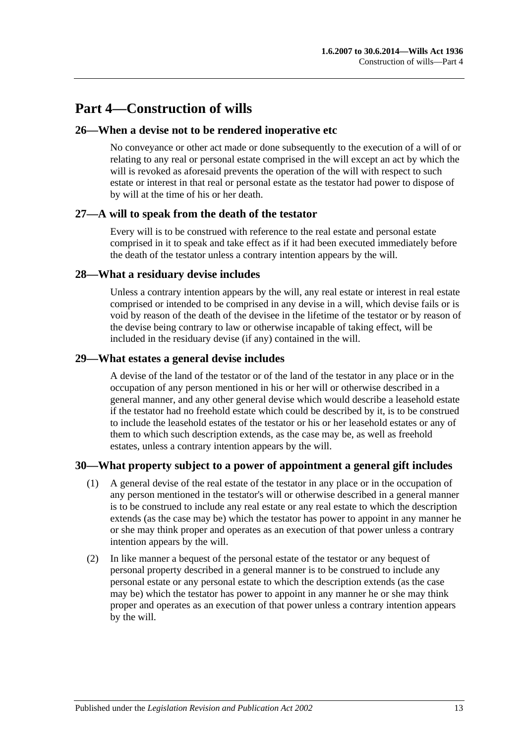# <span id="page-12-0"></span>**Part 4—Construction of wills**

#### <span id="page-12-1"></span>**26—When a devise not to be rendered inoperative etc**

No conveyance or other act made or done subsequently to the execution of a will of or relating to any real or personal estate comprised in the will except an act by which the will is revoked as aforesaid prevents the operation of the will with respect to such estate or interest in that real or personal estate as the testator had power to dispose of by will at the time of his or her death.

#### <span id="page-12-2"></span>**27—A will to speak from the death of the testator**

Every will is to be construed with reference to the real estate and personal estate comprised in it to speak and take effect as if it had been executed immediately before the death of the testator unless a contrary intention appears by the will.

#### <span id="page-12-3"></span>**28—What a residuary devise includes**

Unless a contrary intention appears by the will, any real estate or interest in real estate comprised or intended to be comprised in any devise in a will, which devise fails or is void by reason of the death of the devisee in the lifetime of the testator or by reason of the devise being contrary to law or otherwise incapable of taking effect, will be included in the residuary devise (if any) contained in the will.

#### <span id="page-12-4"></span>**29—What estates a general devise includes**

A devise of the land of the testator or of the land of the testator in any place or in the occupation of any person mentioned in his or her will or otherwise described in a general manner, and any other general devise which would describe a leasehold estate if the testator had no freehold estate which could be described by it, is to be construed to include the leasehold estates of the testator or his or her leasehold estates or any of them to which such description extends, as the case may be, as well as freehold estates, unless a contrary intention appears by the will.

### <span id="page-12-5"></span>**30—What property subject to a power of appointment a general gift includes**

- (1) A general devise of the real estate of the testator in any place or in the occupation of any person mentioned in the testator's will or otherwise described in a general manner is to be construed to include any real estate or any real estate to which the description extends (as the case may be) which the testator has power to appoint in any manner he or she may think proper and operates as an execution of that power unless a contrary intention appears by the will.
- (2) In like manner a bequest of the personal estate of the testator or any bequest of personal property described in a general manner is to be construed to include any personal estate or any personal estate to which the description extends (as the case may be) which the testator has power to appoint in any manner he or she may think proper and operates as an execution of that power unless a contrary intention appears by the will.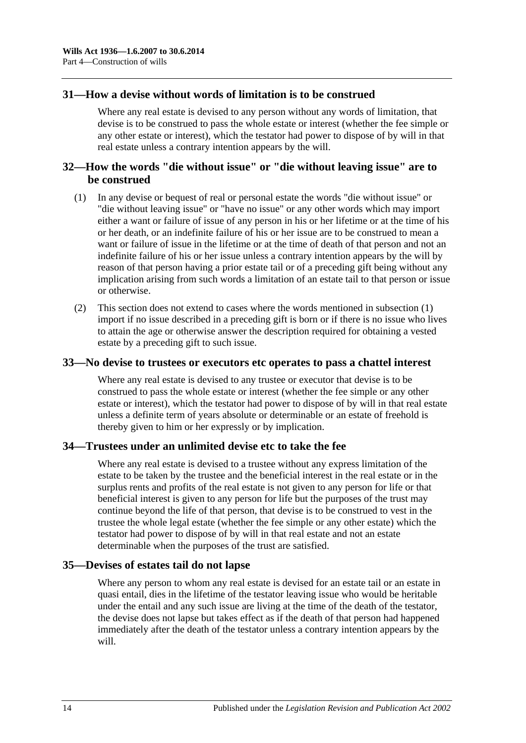#### <span id="page-13-0"></span>**31—How a devise without words of limitation is to be construed**

Where any real estate is devised to any person without any words of limitation, that devise is to be construed to pass the whole estate or interest (whether the fee simple or any other estate or interest), which the testator had power to dispose of by will in that real estate unless a contrary intention appears by the will.

## <span id="page-13-1"></span>**32—How the words "die without issue" or "die without leaving issue" are to be construed**

- <span id="page-13-5"></span>(1) In any devise or bequest of real or personal estate the words "die without issue" or "die without leaving issue" or "have no issue" or any other words which may import either a want or failure of issue of any person in his or her lifetime or at the time of his or her death, or an indefinite failure of his or her issue are to be construed to mean a want or failure of issue in the lifetime or at the time of death of that person and not an indefinite failure of his or her issue unless a contrary intention appears by the will by reason of that person having a prior estate tail or of a preceding gift being without any implication arising from such words a limitation of an estate tail to that person or issue or otherwise.
- (2) This section does not extend to cases where the words mentioned in [subsection](#page-13-5) (1) import if no issue described in a preceding gift is born or if there is no issue who lives to attain the age or otherwise answer the description required for obtaining a vested estate by a preceding gift to such issue.

#### <span id="page-13-2"></span>**33—No devise to trustees or executors etc operates to pass a chattel interest**

Where any real estate is devised to any trustee or executor that devise is to be construed to pass the whole estate or interest (whether the fee simple or any other estate or interest), which the testator had power to dispose of by will in that real estate unless a definite term of years absolute or determinable or an estate of freehold is thereby given to him or her expressly or by implication.

#### <span id="page-13-3"></span>**34—Trustees under an unlimited devise etc to take the fee**

Where any real estate is devised to a trustee without any express limitation of the estate to be taken by the trustee and the beneficial interest in the real estate or in the surplus rents and profits of the real estate is not given to any person for life or that beneficial interest is given to any person for life but the purposes of the trust may continue beyond the life of that person, that devise is to be construed to vest in the trustee the whole legal estate (whether the fee simple or any other estate) which the testator had power to dispose of by will in that real estate and not an estate determinable when the purposes of the trust are satisfied.

#### <span id="page-13-4"></span>**35—Devises of estates tail do not lapse**

Where any person to whom any real estate is devised for an estate tail or an estate in quasi entail, dies in the lifetime of the testator leaving issue who would be heritable under the entail and any such issue are living at the time of the death of the testator, the devise does not lapse but takes effect as if the death of that person had happened immediately after the death of the testator unless a contrary intention appears by the will.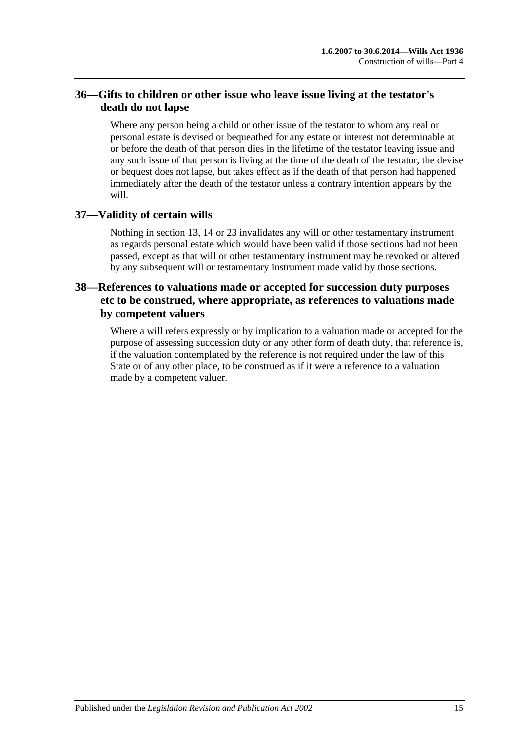# <span id="page-14-0"></span>**36—Gifts to children or other issue who leave issue living at the testator's death do not lapse**

Where any person being a child or other issue of the testator to whom any real or personal estate is devised or bequeathed for any estate or interest not determinable at or before the death of that person dies in the lifetime of the testator leaving issue and any such issue of that person is living at the time of the death of the testator, the devise or bequest does not lapse, but takes effect as if the death of that person had happened immediately after the death of the testator unless a contrary intention appears by the will.

## <span id="page-14-1"></span>**37—Validity of certain wills**

Nothing in [section](#page-7-0) 13, [14](#page-7-1) or [23](#page-9-2) invalidates any will or other testamentary instrument as regards personal estate which would have been valid if those sections had not been passed, except as that will or other testamentary instrument may be revoked or altered by any subsequent will or testamentary instrument made valid by those sections.

# <span id="page-14-2"></span>**38—References to valuations made or accepted for succession duty purposes etc to be construed, where appropriate, as references to valuations made by competent valuers**

Where a will refers expressly or by implication to a valuation made or accepted for the purpose of assessing succession duty or any other form of death duty, that reference is, if the valuation contemplated by the reference is not required under the law of this State or of any other place, to be construed as if it were a reference to a valuation made by a competent valuer.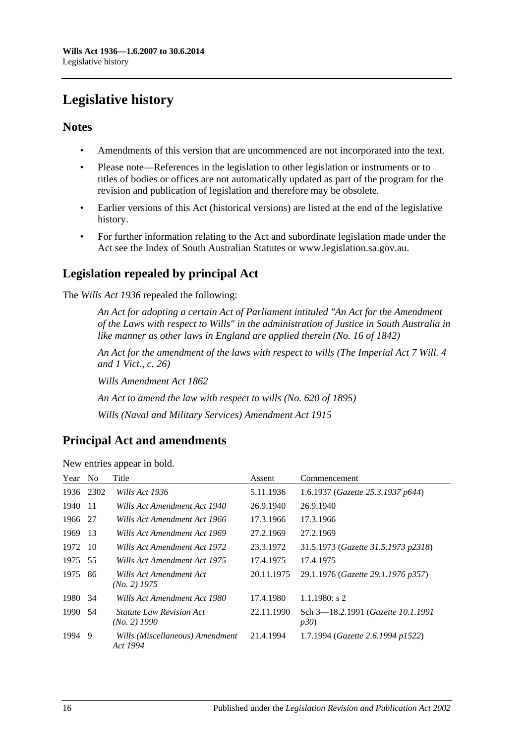# <span id="page-15-0"></span>**Legislative history**

# **Notes**

- Amendments of this version that are uncommenced are not incorporated into the text.
- Please note—References in the legislation to other legislation or instruments or to titles of bodies or offices are not automatically updated as part of the program for the revision and publication of legislation and therefore may be obsolete.
- Earlier versions of this Act (historical versions) are listed at the end of the legislative history.
- For further information relating to the Act and subordinate legislation made under the Act see the Index of South Australian Statutes or www.legislation.sa.gov.au.

# **Legislation repealed by principal Act**

The *Wills Act 1936* repealed the following:

*An Act for adopting a certain Act of Parliament intituled "An Act for the Amendment of the Laws with respect to Wills" in the administration of Justice in South Australia in like manner as other laws in England are applied therein (No. 16 of 1842)*

*An Act for the amendment of the laws with respect to wills (The Imperial Act 7 Will. 4 and 1 Vict., c. 26)*

*Wills Amendment Act 1862*

*An Act to amend the law with respect to wills (No. 620 of 1895)*

*Wills (Naval and Military Services) Amendment Act 1915*

# **Principal Act and amendments**

| Year | N <sub>0</sub> | Title                                             | Assent     | Commencement                               |
|------|----------------|---------------------------------------------------|------------|--------------------------------------------|
| 1936 | 2302           | Wills Act 1936                                    | 5.11.1936  | 1.6.1937 (Gazette 25.3.1937 p644)          |
| 1940 | -11            | Wills Act Amendment Act 1940                      | 26.9.1940  | 26.9.1940                                  |
| 1966 | -27            | Wills Act Amendment Act 1966                      | 17.3.1966  | 17.3.1966                                  |
| 1969 | -13            | Wills Act Amendment Act 1969                      | 27.2.1969  | 27.2.1969                                  |
| 1972 | -10            | Wills Act Amendment Act 1972                      | 23.3.1972  | 31.5.1973 (Gazette 31.5.1973 p2318)        |
| 1975 | 55             | Wills Act Amendment Act 1975                      | 17.4.1975  | 17.4.1975                                  |
| 1975 | 86             | Wills Act Amendment Act<br>$(No. 2)$ 1975         | 20.11.1975 | 29.1.1976 (Gazette 29.1.1976 p357)         |
| 1980 | 34             | Wills Act Amendment Act 1980                      | 17.4.1980  | $1.1.1980$ : s 2                           |
| 1990 | 54             | <i>Statute Law Revision Act</i><br>$(No. 2)$ 1990 | 22.11.1990 | Sch 3-18.2.1991 (Gazette 10.1.1991)<br>p30 |
| 1994 | -9             | Wills (Miscellaneous) Amendment<br>Act 1994       | 21.4.1994  | 1.7.1994 (Gazette 2.6.1994 p1522)          |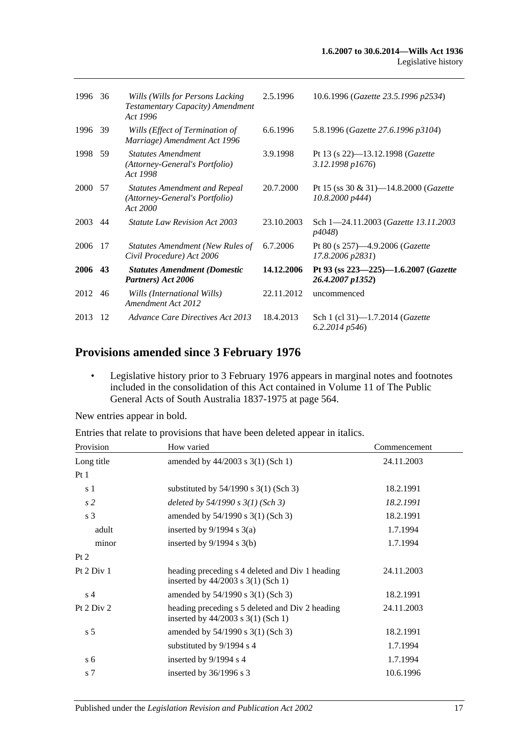| 1996    | 36   | Wills (Wills for Persons Lacking)<br>Testamentary Capacity) Amendment<br>Act 1996  | 2.5.1996   | 10.6.1996 (Gazette 23.5.1996 p2534)                              |
|---------|------|------------------------------------------------------------------------------------|------------|------------------------------------------------------------------|
| 1996    | -39  | Wills (Effect of Termination of<br>Marriage) Amendment Act 1996                    | 6.6.1996   | 5.8.1996 (Gazette 27.6.1996 p3104)                               |
| 1998 59 |      | <b>Statutes Amendment</b><br>(Attorney-General's Portfolio)<br>Act 1998            | 3.9.1998   | Pt 13 (s 22)-13.12.1998 ( <i>Gazette</i><br>3.12.1998 p1676)     |
| 2000    | - 57 | <b>Statutes Amendment and Repeal</b><br>(Attorney-General's Portfolio)<br>Act 2000 | 20.7.2000  | Pt 15 (ss 30 & 31)—14.8.2000 ( <i>Gazette</i><br>10.8.2000 p444) |
| 2003    | 44   | <i>Statute Law Revision Act 2003</i>                                               | 23.10.2003 | Sch 1—24.11.2003 ( <i>Gazette 13.11.2003</i><br>p4048)           |
| 2006    | 17   | <b>Statutes Amendment (New Rules of</b><br>Civil Procedure) Act 2006               | 6.7.2006   | Pt 80 (s 257)-4.9.2006 ( <i>Gazette</i><br>17.8.2006 p2831)      |
| 2006 43 |      | <b>Statutes Amendment (Domestic</b><br>Partners) Act 2006                          | 14.12.2006 | Pt 93 (ss 223-225)-1.6.2007 (Gazette<br>26.4.2007 p1352)         |
| 2012    | 46   | Wills (International Wills)<br>Amendment Act 2012                                  | 22.11.2012 | uncommenced                                                      |
| 2013    | -12  | Advance Care Directives Act 2013                                                   | 18.4.2013  | Sch 1 (cl 31)-1.7.2014 ( <i>Gazette</i><br>$6.2.2014$ $p546$ )   |

# **Provisions amended since 3 February 1976**

• Legislative history prior to 3 February 1976 appears in marginal notes and footnotes included in the consolidation of this Act contained in Volume 11 of The Public General Acts of South Australia 1837-1975 at page 564.

New entries appear in bold.

Entries that relate to provisions that have been deleted appear in italics.

| Provision      | How varied                                                                                | Commencement |
|----------------|-------------------------------------------------------------------------------------------|--------------|
| Long title     | amended by $44/2003$ s 3(1) (Sch 1)                                                       | 24.11.2003   |
| Pt1            |                                                                                           |              |
| s 1            | substituted by $54/1990$ s $3(1)$ (Sch 3)                                                 | 18.2.1991    |
| s <sub>2</sub> | deleted by $54/1990$ s $3(1)$ (Sch 3)                                                     | 18.2.1991    |
| s <sub>3</sub> | amended by $54/1990$ s $3(1)$ (Sch 3)                                                     | 18.2.1991    |
| adult          | inserted by $9/1994$ s $3(a)$                                                             | 1.7.1994     |
| minor          | inserted by $9/1994$ s $3(b)$                                                             | 1.7.1994     |
| Pt 2           |                                                                                           |              |
| Pt 2 Div 1     | heading preceding s 4 deleted and Div 1 heading<br>inserted by $44/2003$ s $3(1)$ (Sch 1) | 24.11.2003   |
| s <sub>4</sub> | amended by 54/1990 s 3(1) (Sch 3)                                                         | 18.2.1991    |
| Pt 2 Div 2     | heading preceding s 5 deleted and Div 2 heading<br>inserted by $44/2003$ s $3(1)$ (Sch 1) | 24.11.2003   |
| s <sub>5</sub> | amended by 54/1990 s 3(1) (Sch 3)                                                         | 18.2.1991    |
|                | substituted by 9/1994 s 4                                                                 | 1.7.1994     |
| s 6            | inserted by 9/1994 s 4                                                                    | 1.7.1994     |
| s 7            | inserted by $36/1996$ s 3                                                                 | 10.6.1996    |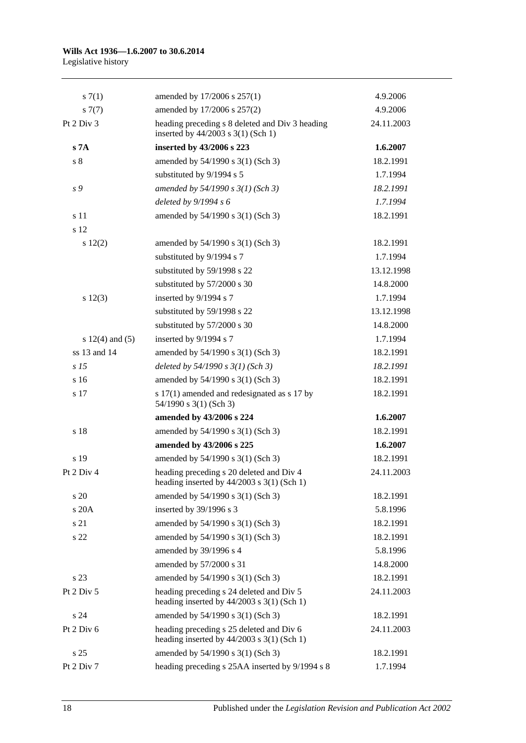#### **Wills Act 1936—1.6.2007 to 30.6.2014** Legislative history

| s(7(1)              | amended by 17/2006 s 257(1)                                                                | 4.9.2006   |
|---------------------|--------------------------------------------------------------------------------------------|------------|
| $s \, 7(7)$         | amended by 17/2006 s 257(2)                                                                | 4.9.2006   |
| Pt 2 Div 3          | heading preceding s 8 deleted and Div 3 heading<br>inserted by 44/2003 s 3(1) (Sch 1)      | 24.11.2003 |
| s 7A                | inserted by 43/2006 s 223                                                                  | 1.6.2007   |
| $\sqrt{s}$ 8        | amended by 54/1990 s 3(1) (Sch 3)                                                          | 18.2.1991  |
|                     | substituted by 9/1994 s 5                                                                  | 1.7.1994   |
| s 9                 | amended by $54/1990 s 3(1)$ (Sch 3)                                                        | 18.2.1991  |
|                     | deleted by $9/1994 s 6$                                                                    | 1.7.1994   |
| s 11                | amended by 54/1990 s 3(1) (Sch 3)                                                          | 18.2.1991  |
| s 12                |                                                                                            |            |
| 12(2)               | amended by 54/1990 s 3(1) (Sch 3)                                                          | 18.2.1991  |
|                     | substituted by 9/1994 s 7                                                                  | 1.7.1994   |
|                     | substituted by 59/1998 s 22                                                                | 13.12.1998 |
|                     | substituted by 57/2000 s 30                                                                | 14.8.2000  |
| s 12(3)             | inserted by 9/1994 s 7                                                                     | 1.7.1994   |
|                     | substituted by 59/1998 s 22                                                                | 13.12.1998 |
|                     | substituted by 57/2000 s 30                                                                | 14.8.2000  |
| s $12(4)$ and $(5)$ | inserted by 9/1994 s 7                                                                     | 1.7.1994   |
| ss 13 and 14        | amended by 54/1990 s 3(1) (Sch 3)                                                          | 18.2.1991  |
| s <sub>15</sub>     | deleted by $54/1990 s 3(1)$ (Sch 3)                                                        | 18.2.1991  |
| s 16                | amended by 54/1990 s 3(1) (Sch 3)                                                          | 18.2.1991  |
| s 17                | s 17(1) amended and redesignated as s 17 by<br>$54/1990$ s 3(1) (Sch 3)                    | 18.2.1991  |
|                     | amended by 43/2006 s 224                                                                   | 1.6.2007   |
| s 18                | amended by 54/1990 s 3(1) (Sch 3)                                                          | 18.2.1991  |
|                     | amended by 43/2006 s 225                                                                   | 1.6.2007   |
| s 19                | amended by 54/1990 s 3(1) (Sch 3)                                                          | 18.2.1991  |
| Pt 2 Div 4          | heading preceding s 20 deleted and Div 4<br>heading inserted by 44/2003 s 3(1) (Sch 1)     | 24.11.2003 |
| s 20                | amended by 54/1990 s 3(1) (Sch 3)                                                          | 18.2.1991  |
| s 20A               | inserted by 39/1996 s 3                                                                    | 5.8.1996   |
| s 21                | amended by 54/1990 s 3(1) (Sch 3)                                                          | 18.2.1991  |
| s 22                | amended by 54/1990 s 3(1) (Sch 3)                                                          | 18.2.1991  |
|                     | amended by 39/1996 s 4                                                                     | 5.8.1996   |
|                     | amended by 57/2000 s 31                                                                    | 14.8.2000  |
| s 23                | amended by 54/1990 s 3(1) (Sch 3)                                                          | 18.2.1991  |
| Pt 2 Div 5          | heading preceding s 24 deleted and Div 5<br>heading inserted by $44/2003$ s $3(1)$ (Sch 1) | 24.11.2003 |
| s 24                | amended by 54/1990 s 3(1) (Sch 3)                                                          | 18.2.1991  |
| Pt 2 Div 6          | heading preceding s 25 deleted and Div 6<br>heading inserted by $44/2003$ s 3(1) (Sch 1)   | 24.11.2003 |
| s 25                | amended by 54/1990 s 3(1) (Sch 3)                                                          | 18.2.1991  |
| Pt 2 Div 7          | heading preceding s 25AA inserted by 9/1994 s 8                                            | 1.7.1994   |